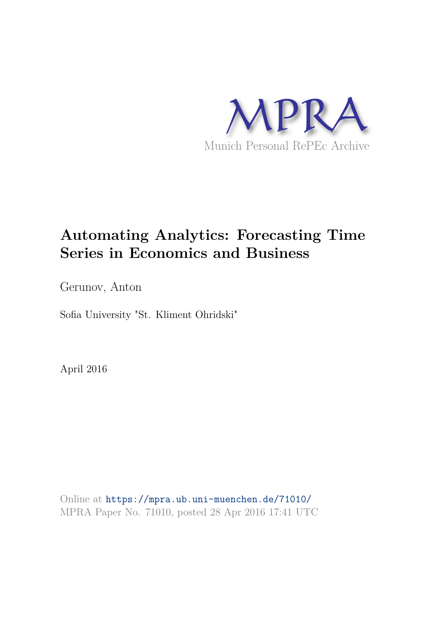

# **Automating Analytics: Forecasting Time Series in Economics and Business**

Gerunov, Anton

Sofia University "St. Kliment Ohridski"

April 2016

Online at https://mpra.ub.uni-muenchen.de/71010/ MPRA Paper No. 71010, posted 28 Apr 2016 17:41 UTC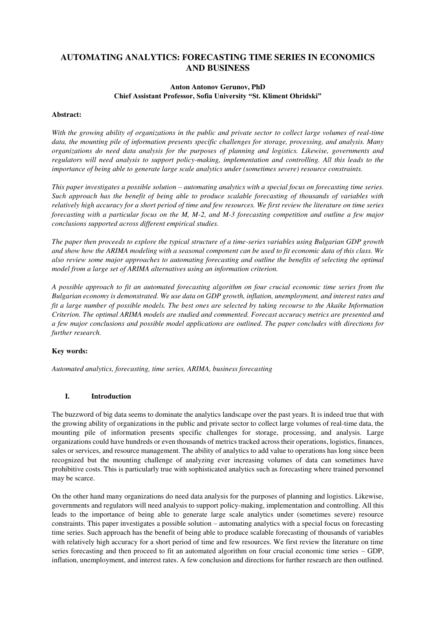# **AUTOMATING ANALYTICS: FORECASTING TIME SERIES IN ECONOMICS AND BUSINESS**

# **Anton Antonov Gerunov, PhD Chief Assistant Professor, Sofia University "St. Kliment Ohridski"**

### **Abstract:**

*With the growing ability of organizations in the public and private sector to collect large volumes of real-time data, the mounting pile of information presents specific challenges for storage, processing, and analysis. Many organizations do need data analysis for the purposes of planning and logistics. Likewise, governments and regulators will need analysis to support policy-making, implementation and controlling. All this leads to the importance of being able to generate large scale analytics under (sometimes severe) resource constraints.* 

*This paper investigates a possible solution – automating analytics with a special focus on forecasting time series. Such approach has the benefit of being able to produce scalable forecasting of thousands of variables with relatively high accuracy for a short period of time and few resources. We first review the literature on time series forecasting with a particular focus on the M, M-2, and M-3 forecasting competition and outline a few major conclusions supported across different empirical studies.* 

*The paper then proceeds to explore the typical structure of a time-series variables using Bulgarian GDP growth and show how the ARIMA modeling with a seasonal component can be used to fit economic data of this class. We also review some major approaches to automating forecasting and outline the benefits of selecting the optimal model from a large set of ARIMA alternatives using an information criterion.* 

*A possible approach to fit an automated forecasting algorithm on four crucial economic time series from the Bulgarian economy is demonstrated. We use data on GDP growth, inflation, unemployment, and interest rates and fit a large number of possible models. The best ones are selected by taking recourse to the Akaike Information Criterion. The optimal ARIMA models are studied and commented. Forecast accuracy metrics are presented and a few major conclusions and possible model applications are outlined. The paper concludes with directions for further research.* 

### **Key words:**

*Automated analytics, forecasting, time series, ARIMA, business forecasting* 

## **I. Introduction**

The buzzword of big data seems to dominate the analytics landscape over the past years. It is indeed true that with the growing ability of organizations in the public and private sector to collect large volumes of real-time data, the mounting pile of information presents specific challenges for storage, processing, and analysis. Large organizations could have hundreds or even thousands of metrics tracked across their operations, logistics, finances, sales or services, and resource management. The ability of analytics to add value to operations has long since been recognized but the mounting challenge of analyzing ever increasing volumes of data can sometimes have prohibitive costs. This is particularly true with sophisticated analytics such as forecasting where trained personnel may be scarce.

On the other hand many organizations do need data analysis for the purposes of planning and logistics. Likewise, governments and regulators will need analysis to support policy-making, implementation and controlling. All this leads to the importance of being able to generate large scale analytics under (sometimes severe) resource constraints. This paper investigates a possible solution – automating analytics with a special focus on forecasting time series. Such approach has the benefit of being able to produce scalable forecasting of thousands of variables with relatively high accuracy for a short period of time and few resources. We first review the literature on time series forecasting and then proceed to fit an automated algorithm on four crucial economic time series – GDP, inflation, unemployment, and interest rates. A few conclusion and directions for further research are then outlined.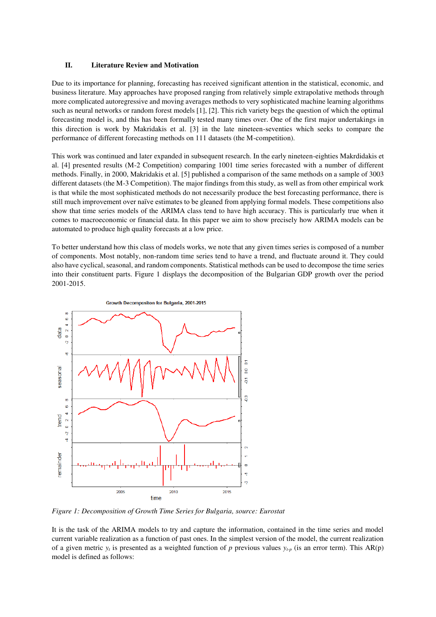#### **II. Literature Review and Motivation**

Due to its importance for planning, forecasting has received significant attention in the statistical, economic, and business literature. May approaches have proposed ranging from relatively simple extrapolative methods through more complicated autoregressive and moving averages methods to very sophisticated machine learning algorithms such as neural networks or random forest models [1], [2]. This rich variety begs the question of which the optimal forecasting model is, and this has been formally tested many times over. One of the first major undertakings in this direction is work by Makridakis et al. [3] in the late nineteen-seventies which seeks to compare the performance of different forecasting methods on 111 datasets (the M-competition).

This work was continued and later expanded in subsequent research. In the early nineteen-eighties Makrdidakis et al. [4] presented results (M-2 Competition) comparing 1001 time series forecasted with a number of different methods. Finally, in 2000, Makridakis et al. [5] published a comparison of the same methods on a sample of 3003 different datasets (the M-3 Competition). The major findings from this study, as well as from other empirical work is that while the most sophisticated methods do not necessarily produce the best forecasting performance, there is still much improvement over naïve estimates to be gleaned from applying formal models. These competitions also show that time series models of the ARIMA class tend to have high accuracy. This is particularly true when it comes to macroeconomic or financial data. In this paper we aim to show precisely how ARIMA models can be automated to produce high quality forecasts at a low price.

To better understand how this class of models works, we note that any given times series is composed of a number of components. Most notably, non-random time series tend to have a trend, and fluctuate around it. They could also have cyclical, seasonal, and random components. Statistical methods can be used to decompose the time series into their constituent parts. Figure 1 displays the decomposition of the Bulgarian GDP growth over the period 2001-2015.



*Figure 1: Decomposition of Growth Time Series for Bulgaria, source: Eurostat* 

It is the task of the ARIMA models to try and capture the information, contained in the time series and model current variable realization as a function of past ones. In the simplest version of the model, the current realization of a given metric  $y_t$  is presented as a weighted function of p previous values  $y_{t-p}$  (is an error term). This AR(p) model is defined as follows: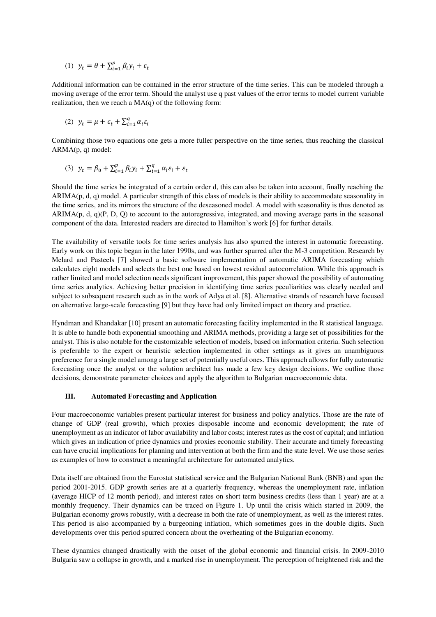$$
(1) \ \ y_t = \theta + \sum_{i=1}^p \beta_i y_i + \varepsilon_t
$$

Additional information can be contained in the error structure of the time series. This can be modeled through a moving average of the error term. Should the analyst use q past values of the error terms to model current variable realization, then we reach a  $MA(q)$  of the following form:

$$
(2) \ \ y_t = \mu + \epsilon_t + \sum_{i=1}^q \alpha_i \varepsilon_i
$$

Combining those two equations one gets a more fuller perspective on the time series, thus reaching the classical ARMA(p, q) model:

$$
(3) \ \ y_t = \beta_0 + \sum_{i=1}^p \beta_i y_i + \sum_{i=1}^q \alpha_i \varepsilon_i + \varepsilon_t
$$

Should the time series be integrated of a certain order d, this can also be taken into account, finally reaching the ARIMA(p, d, q) model. A particular strength of this class of models is their ability to accommodate seasonality in the time series, and its mirrors the structure of the deseasoned model. A model with seasonality is thus denoted as ARIMA(p, d, q)(P, D, Q) to account to the autoregressive, integrated, and moving average parts in the seasonal component of the data. Interested readers are directed to Hamilton's work [6] for further details.

The availability of versatile tools for time series analysis has also spurred the interest in automatic forecasting. Early work on this topic began in the later 1990s, and was further spurred after the M-3 competition. Research by Melard and Pasteels [7] showed a basic software implementation of automatic ARIMA forecasting which calculates eight models and selects the best one based on lowest residual autocorrelation. While this approach is rather limited and model selection needs significant improvement, this paper showed the possibility of automating time series analytics. Achieving better precision in identifying time series peculiarities was clearly needed and subject to subsequent research such as in the work of Adya et al. [8]. Alternative strands of research have focused on alternative large-scale forecasting [9] but they have had only limited impact on theory and practice.

Hyndman and Khandakar [10] present an automatic forecasting facility implemented in the R statistical language. It is able to handle both exponential smoothing and ARIMA methods, providing a large set of possibilities for the analyst. This is also notable for the customizable selection of models, based on information criteria. Such selection is preferable to the expert or heuristic selection implemented in other settings as it gives an unambiguous preference for a single model among a large set of potentially useful ones. This approach allows for fully automatic forecasting once the analyst or the solution architect has made a few key design decisions. We outline those decisions, demonstrate parameter choices and apply the algorithm to Bulgarian macroeconomic data.

### **III. Automated Forecasting and Application**

Four macroeconomic variables present particular interest for business and policy analytics. Those are the rate of change of GDP (real growth), which proxies disposable income and economic development; the rate of unemployment as an indicator of labor availability and labor costs; interest rates as the cost of capital; and inflation which gives an indication of price dynamics and proxies economic stability. Their accurate and timely forecasting can have crucial implications for planning and intervention at both the firm and the state level. We use those series as examples of how to construct a meaningful architecture for automated analytics.

Data itself are obtained from the Eurostat statistical service and the Bulgarian National Bank (BNB) and span the period 2001-2015. GDP growth series are at a quarterly frequency, whereas the unemployment rate, inflation (average HICP of 12 month period), and interest rates on short term business credits (less than 1 year) are at a monthly frequency. Their dynamics can be traced on Figure 1. Up until the crisis which started in 2009, the Bulgarian economy grows robustly, with a decrease in both the rate of unemployment, as well as the interest rates. This period is also accompanied by a burgeoning inflation, which sometimes goes in the double digits. Such developments over this period spurred concern about the overheating of the Bulgarian economy.

These dynamics changed drastically with the onset of the global economic and financial crisis. In 2009-2010 Bulgaria saw a collapse in growth, and a marked rise in unemployment. The perception of heightened risk and the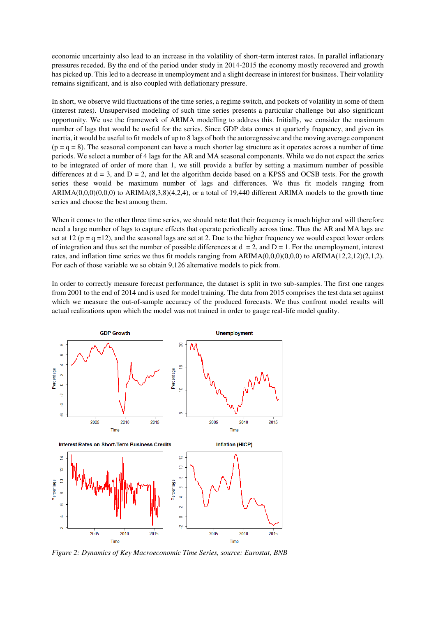economic uncertainty also lead to an increase in the volatility of short-term interest rates. In parallel inflationary pressures receded. By the end of the period under study in 2014-2015 the economy mostly recovered and growth has picked up. This led to a decrease in unemployment and a slight decrease in interest for business. Their volatility remains significant, and is also coupled with deflationary pressure.

In short, we observe wild fluctuations of the time series, a regime switch, and pockets of volatility in some of them (interest rates). Unsupervised modeling of such time series presents a particular challenge but also significant opportunity. We use the framework of ARIMA modelling to address this. Initially, we consider the maximum number of lags that would be useful for the series. Since GDP data comes at quarterly frequency, and given its inertia, it would be useful to fit models of up to 8 lags of both the autoregressive and the moving average component  $(p = q = 8)$ . The seasonal component can have a much shorter lag structure as it operates across a number of time periods. We select a number of 4 lags for the AR and MA seasonal components. While we do not expect the series to be integrated of order of more than 1, we still provide a buffer by setting a maximum number of possible differences at  $d = 3$ , and  $D = 2$ , and let the algorithm decide based on a KPSS and OCSB tests. For the growth series these would be maximum number of lags and differences. We thus fit models ranging from  $ARIMA(0,0,0)(0,0,0)$  to  $ARIMA(8,3,8)(4,2,4)$ , or a total of 19,440 different ARIMA models to the growth time series and choose the best among them.

When it comes to the other three time series, we should note that their frequency is much higher and will therefore need a large number of lags to capture effects that operate periodically across time. Thus the AR and MA lags are set at 12 ( $p = q = 12$ ), and the seasonal lags are set at 2. Due to the higher frequency we would expect lower orders of integration and thus set the number of possible differences at  $d = 2$ , and  $D = 1$ . For the unemployment, interest rates, and inflation time series we thus fit models ranging from ARIMA(0,0,0)(0,0,0) to ARIMA(12,2,12)(2,1,2). For each of those variable we so obtain 9,126 alternative models to pick from.

In order to correctly measure forecast performance, the dataset is split in two sub-samples. The first one ranges from 2001 to the end of 2014 and is used for model training. The data from 2015 comprises the test data set against which we measure the out-of-sample accuracy of the produced forecasts. We thus confront model results will actual realizations upon which the model was not trained in order to gauge real-life model quality.



*Figure 2: Dynamics of Key Macroeconomic Time Series, source: Eurostat, BNB*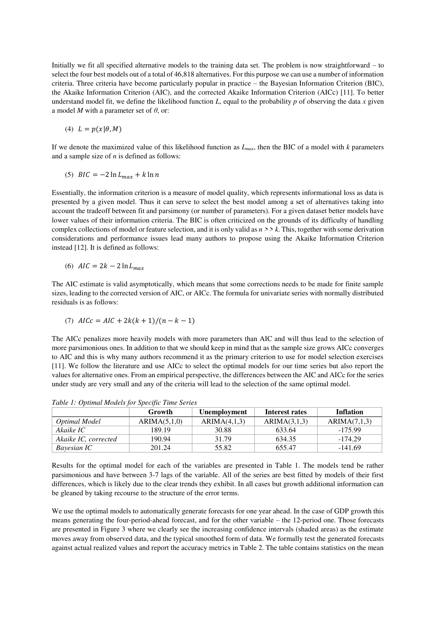Initially we fit all specified alternative models to the training data set. The problem is now straightforward – to select the four best models out of a total of 46,818 alternatives. For this purpose we can use a number of information criteria. Three criteria have become particularly popular in practice – the Bayesian Information Criterion (BIC), the Akaike Information Criterion (AIC), and the corrected Akaike Information Criterion (AICc) [11]. To better understand model fit, we define the likelihood function  $L$ , equal to the probability  $p$  of observing the data  $x$  given a model *M* with a parameter set of *θ*, or:

$$
(4) \ \ L = p(x|\theta, M)
$$

If we denote the maximized value of this likelihood function as *Lmax*, then the BIC of a model with *k* parameters and a sample size of *n* is defined as follows:

$$
(5) \, \, BIC = -2 \ln L_{max} + k \ln n
$$

Essentially, the information criterion is a measure of model quality, which represents informational loss as data is presented by a given model. Thus it can serve to select the best model among a set of alternatives taking into account the tradeoff between fit and parsimony (or number of parameters). For a given dataset better models have lower values of their information criteria. The BIC is often criticized on the grounds of its difficulty of handling complex collections of model or feature selection, and it is only valid as *n >> k*. This, together with some derivation considerations and performance issues lead many authors to propose using the Akaike Information Criterion instead [12]. It is defined as follows:

$$
(6) \quad AIC = 2k - 2\ln L_{max}
$$

The AIC estimate is valid asymptotically, which means that some corrections needs to be made for finite sample sizes, leading to the corrected version of AIC, or AICc. The formula for univariate series with normally distributed residuals is as follows:

(7) 
$$
AICc = AIC + 2k(k+1)/(n-k-1)
$$

The AICc penalizes more heavily models with more parameters than AIC and will thus lead to the selection of more parsimonious ones. In addition to that we should keep in mind that as the sample size grows AICc converges to AIC and this is why many authors recommend it as the primary criterion to use for model selection exercises [11]. We follow the literature and use AICc to select the optimal models for our time series but also report the values for alternative ones. From an empirical perspective, the differences between the AIC and AICc for the series under study are very small and any of the criteria will lead to the selection of the same optimal model.

|                      | <b>Growth</b> | <b>Unemployment</b> | Interest rates | <b>Inflation</b> |
|----------------------|---------------|---------------------|----------------|------------------|
| Optimal Model        | ARIMA(5,1,0)  | ARIMA(4,1,3)        | ARIMA(3,1,3)   | ARIMA(7,1,3)     |
| Akaike IC            | 189.19        | 30.88               | 633.64         | $-175.99$        |
| Akaike IC, corrected | 190.94        | 31.79               | 634.35         | $-174.29$        |
| <i>Bayesian IC</i>   | 201.24        | 55.82               | 655.47         | $-141.69$        |

*Table 1: Optimal Models for Specific Time Series* 

Results for the optimal model for each of the variables are presented in Table 1. The models tend be rather parsimonious and have between 3-7 lags of the variable. All of the series are best fitted by models of their first differences, which is likely due to the clear trends they exhibit. In all cases but growth additional information can be gleaned by taking recourse to the structure of the error terms.

We use the optimal models to automatically generate forecasts for one year ahead. In the case of GDP growth this means generating the four-period-ahead forecast, and for the other variable – the 12-period one. Those forecasts are presented in Figure 3 where we clearly see the increasing confidence intervals (shaded areas) as the estimate moves away from observed data, and the typical smoothed form of data. We formally test the generated forecasts against actual realized values and report the accuracy metrics in Table 2. The table contains statistics on the mean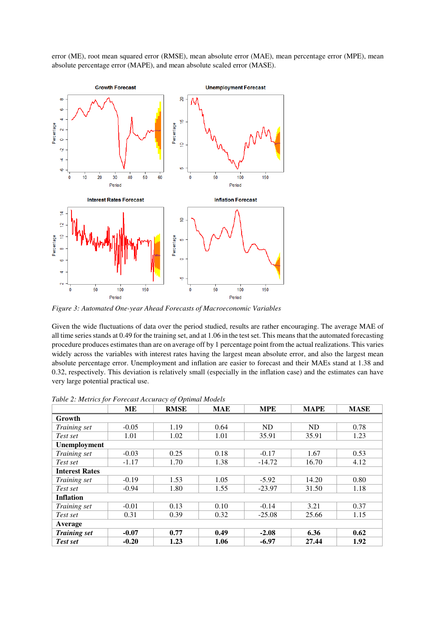error (ME), root mean squared error (RMSE), mean absolute error (MAE), mean percentage error (MPE), mean absolute percentage error (MAPE), and mean absolute scaled error (MASE).



*Figure 3: Automated One-year Ahead Forecasts of Macroeconomic Variables* 

Given the wide fluctuations of data over the period studied, results are rather encouraging. The average MAE of all time series stands at 0.49 for the training set, and at 1.06 in the test set. This means that the automated forecasting procedure produces estimates than are on average off by 1 percentage point from the actual realizations. This varies widely across the variables with interest rates having the largest mean absolute error, and also the largest mean absolute percentage error. Unemployment and inflation are easier to forecast and their MAEs stand at 1.38 and 0.32, respectively. This deviation is relatively small (especially in the inflation case) and the estimates can have very large potential practical use.

|                       | MЕ      | <b>RMSE</b> | <b>MAE</b> | <b>MPE</b> | <b>MAPE</b> | <b>MASE</b> |  |  |
|-----------------------|---------|-------------|------------|------------|-------------|-------------|--|--|
| Growth                |         |             |            |            |             |             |  |  |
| Training set          | $-0.05$ | 1.19        | 0.64       | ND         | ND          | 0.78        |  |  |
| Test set              | 1.01    | 1.02        | 1.01       | 35.91      | 35.91       | 1.23        |  |  |
| Unemployment          |         |             |            |            |             |             |  |  |
| Training set          | $-0.03$ | 0.25        | 0.18       | $-0.17$    | 1.67        | 0.53        |  |  |
| Test set              | $-1.17$ | 1.70        | 1.38       | $-14.72$   | 16.70       | 4.12        |  |  |
| <b>Interest Rates</b> |         |             |            |            |             |             |  |  |
| Training set          | $-0.19$ | 1.53        | 1.05       | $-5.92$    | 14.20       | 0.80        |  |  |
| Test set              | $-0.94$ | 1.80        | 1.55       | $-23.97$   | 31.50       | 1.18        |  |  |
| <b>Inflation</b>      |         |             |            |            |             |             |  |  |
| Training set          | $-0.01$ | 0.13        | 0.10       | $-0.14$    | 3.21        | 0.37        |  |  |
| Test set              | 0.31    | 0.39        | 0.32       | $-25.08$   | 25.66       | 1.15        |  |  |
| Average               |         |             |            |            |             |             |  |  |
| <b>Training set</b>   | $-0.07$ | 0.77        | 0.49       | $-2.08$    | 6.36        | 0.62        |  |  |
| Test set              | $-0.20$ | 1.23        | 1.06       | $-6.97$    | 27.44       | 1.92        |  |  |

*Table 2: Metrics for Forecast Accuracy of Optimal Models*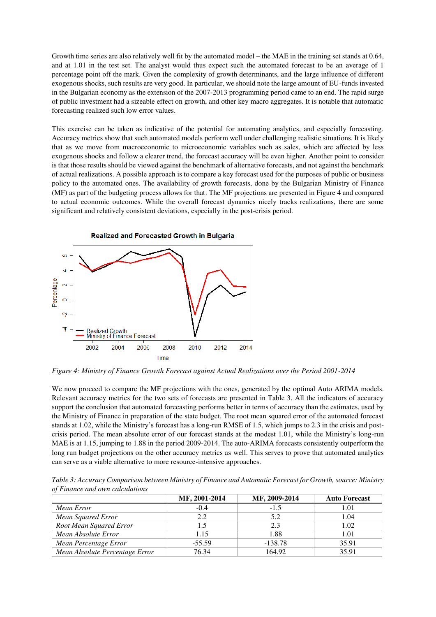Growth time series are also relatively well fit by the automated model – the MAE in the training set stands at 0.64, and at 1.01 in the test set. The analyst would thus expect such the automated forecast to be an average of 1 percentage point off the mark. Given the complexity of growth determinants, and the large influence of different exogenous shocks, such results are very good. In particular, we should note the large amount of EU-funds invested in the Bulgarian economy as the extension of the 2007-2013 programming period came to an end. The rapid surge of public investment had a sizeable effect on growth, and other key macro aggregates. It is notable that automatic forecasting realized such low error values.

This exercise can be taken as indicative of the potential for automating analytics, and especially forecasting. Accuracy metrics show that such automated models perform well under challenging realistic situations. It is likely that as we move from macroeconomic to microeconomic variables such as sales, which are affected by less exogenous shocks and follow a clearer trend, the forecast accuracy will be even higher. Another point to consider is that those results should be viewed against the benchmark of alternative forecasts, and not against the benchmark of actual realizations. A possible approach is to compare a key forecast used for the purposes of public or business policy to the automated ones. The availability of growth forecasts, done by the Bulgarian Ministry of Finance (MF) as part of the budgeting process allows for that. The MF projections are presented in Figure 4 and compared to actual economic outcomes. While the overall forecast dynamics nicely tracks realizations, there are some significant and relatively consistent deviations, especially in the post-crisis period.



*Figure 4: Ministry of Finance Growth Forecast against Actual Realizations over the Period 2001-2014* 

We now proceed to compare the MF projections with the ones, generated by the optimal Auto ARIMA models. Relevant accuracy metrics for the two sets of forecasts are presented in Table 3. All the indicators of accuracy support the conclusion that automated forecasting performs better in terms of accuracy than the estimates, used by the Ministry of Finance in preparation of the state budget. The root mean squared error of the automated forecast stands at 1.02, while the Ministry's forecast has a long-run RMSE of 1.5, which jumps to 2.3 in the crisis and postcrisis period. The mean absolute error of our forecast stands at the modest 1.01, while the Ministry's long-run MAE is at 1.15, jumping to 1.88 in the period 2009-2014. The auto-ARIMA forecasts consistently outperform the long run budget projections on the other accuracy metrics as well. This serves to prove that automated analytics can serve as a viable alternative to more resource-intensive approaches.

*Table 3: Accuracy Comparison between Ministry of Finance and Automatic Forecast for Growth, source: Ministry of Finance and own calculations* 

|                                | MF, 2001-2014 | MF, 2009-2014 | <b>Auto Forecast</b> |
|--------------------------------|---------------|---------------|----------------------|
| Mean Error                     | $-0.4$        | $-1.5$        | 1.01                 |
| Mean Squared Error             | 2.2           | 5.2           | 1.04                 |
| Root Mean Squared Error        | 1.5           | 2.3           | 1.02                 |
| Mean Absolute Error            | 1.15          | 1.88          | 1.01                 |
| Mean Percentage Error          | $-55.59$      | $-138.78$     | 35.91                |
| Mean Absolute Percentage Error | 76.34         | 164.92        | 35.91                |